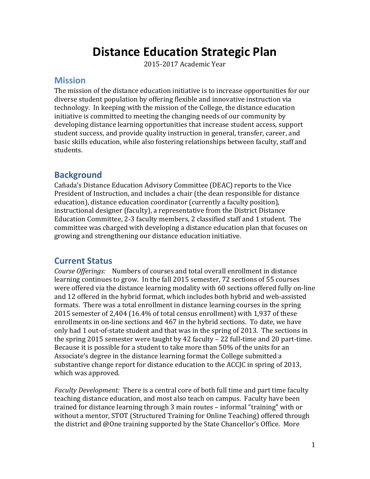# **Distance Education Strategic Plan**

2015-2017 Academic Year

#### **Mission**

The mission of the distance education initiative is to increase opportunities for our diverse student population by offering flexible and innovative instruction via technology. In keeping with the mission of the College, the distance education initiative is committed to meeting the changing needs of our community by developing distance learning opportunities that increase student access, support student success, and provide quality instruction in general, transfer, career, and basic skills education, while also fostering relationships between faculty, staff and students.

### **Background**

Cañada's Distance Education Advisory Committee (DEAC) reports to the Vice President of Instruction, and includes a chair (the dean responsible for distance education), distance education coordinator (currently a faculty position), instructional designer (faculty), a representative from the District Distance Education Committee, 2-3 faculty members, 2 classified staff and 1 student. The committee was charged with developing a distance education plan that focuses on growing and strengthening our distance education initiative.

### **Current Status**

*Course Offerings:* Numbers of courses and total overall enrollment in distance learning continues to grow. In the fall 2015 semester, 72 sections of 55 courses were offered via the distance learning modality with 60 sections offered fully on-line and 12 offered in the hybrid format, which includes both hybrid and web-assisted formats. There was a total enrollment in distance learning courses in the spring 2015 semester of 2,404 (16.4% of total census enrollment) with 1,937 of these enrollments in on-line sections and 467 in the hybrid sections. To date, we have only had 1 out-of-state student and that was in the spring of 2013. The sections in the spring 2015 semester were taught by 42 faculty – 22 full-time and 20 part-time. Because it is possible for a student to take more than 50% of the units for an Associate's degree in the distance learning format the College submitted a substantive change report for distance education to the ACCJC in spring of 2013, which was approved.

*Faculty Development:* There is a central core of both full time and part time faculty teaching distance education, and most also teach on campus. Faculty have been trained for distance learning through 3 main routes – informal "training" with or without a mentor, STOT (Structured Training for Online Teaching) offered through the district and @One training supported by the State Chancellor's Office. More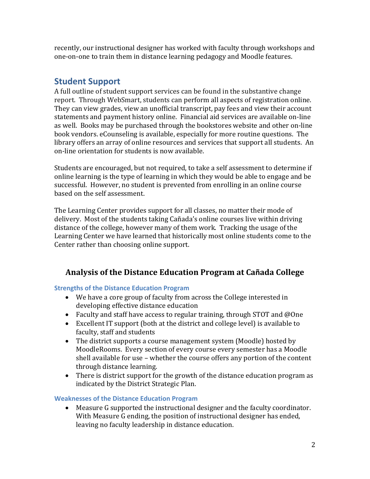recently, our instructional designer has worked with faculty through workshops and one-on-one to train them in distance learning pedagogy and Moodle features.

## **Student Support**

A full outline of student support services can be found in the substantive change report. Through WebSmart, students can perform all aspects of registration online. They can view grades, view an unofficial transcript, pay fees and view their account statements and payment history online. Financial aid services are available on-line as well. Books may be purchased through the bookstores website and other on-line book vendors. eCounseling is available, especially for more routine questions. The library offers an array of online resources and services that support all students. An on-line orientation for students is now available.

Students are encouraged, but not required, to take a self assessment to determine if online learning is the type of learning in which they would be able to engage and be successful. However, no student is prevented from enrolling in an online course based on the self assessment.

The Learning Center provides support for all classes, no matter their mode of delivery. Most of the students taking Cañada's online courses live within driving distance of the college, however many of them work. Tracking the usage of the Learning Center we have learned that historically most online students come to the Center rather than choosing online support.

## **Analysis of the Distance Education Program at Cañada College**

**Strengths of the Distance Education Program**

- We have a core group of faculty from across the College interested in developing effective distance education
- Faculty and staff have access to regular training, through STOT and @One
- Excellent IT support (both at the district and college level) is available to faculty, staff and students
- The district supports a course management system (Moodle) hosted by MoodleRooms. Every section of every course every semester has a Moodle shell available for use – whether the course offers any portion of the content through distance learning.
- There is district support for the growth of the distance education program as indicated by the District Strategic Plan.

### **Weaknesses of the Distance Education Program**

 Measure G supported the instructional designer and the faculty coordinator. With Measure G ending, the position of instructional designer has ended, leaving no faculty leadership in distance education.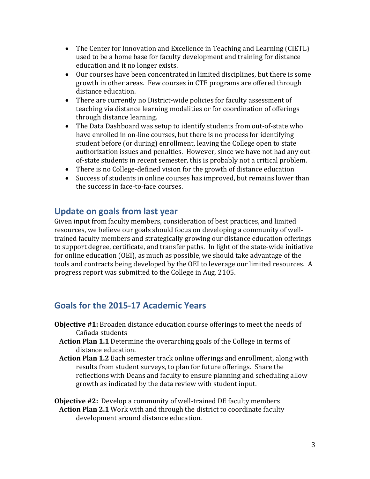- The Center for Innovation and Excellence in Teaching and Learning (CIETL) used to be a home base for faculty development and training for distance education and it no longer exists.
- Our courses have been concentrated in limited disciplines, but there is some growth in other areas. Few courses in CTE programs are offered through distance education.
- There are currently no District-wide policies for faculty assessment of teaching via distance learning modalities or for coordination of offerings through distance learning.
- The Data Dashboard was setup to identify students from out-of-state who have enrolled in on-line courses, but there is no process for identifying student before (or during) enrollment, leaving the College open to state authorization issues and penalties. However, since we have not had any outof-state students in recent semester, this is probably not a critical problem.
- There is no College-defined vision for the growth of distance education
- Success of students in online courses has improved, but remains lower than the success in face-to-face courses.

## **Update on goals from last year**

Given input from faculty members, consideration of best practices, and limited resources, we believe our goals should focus on developing a community of welltrained faculty members and strategically growing our distance education offerings to support degree, certificate, and transfer paths. In light of the state-wide initiative for online education (OEI), as much as possible, we should take advantage of the tools and contracts being developed by the OEI to leverage our limited resources. A progress report was submitted to the College in Aug. 2105.

## **Goals for the 2015-17 Academic Years**

- **Objective #1:** Broaden distance education course offerings to meet the needs of Cañada students
	- **Action Plan 1.1** Determine the overarching goals of the College in terms of distance education.
	- **Action Plan 1.2** Each semester track online offerings and enrollment, along with results from student surveys, to plan for future offerings. Share the reflections with Deans and faculty to ensure planning and scheduling allow growth as indicated by the data review with student input.
- **Objective #2:** Develop a community of well-trained DE faculty members  **Action Plan 2.1** Work with and through the district to coordinate faculty development around distance education.